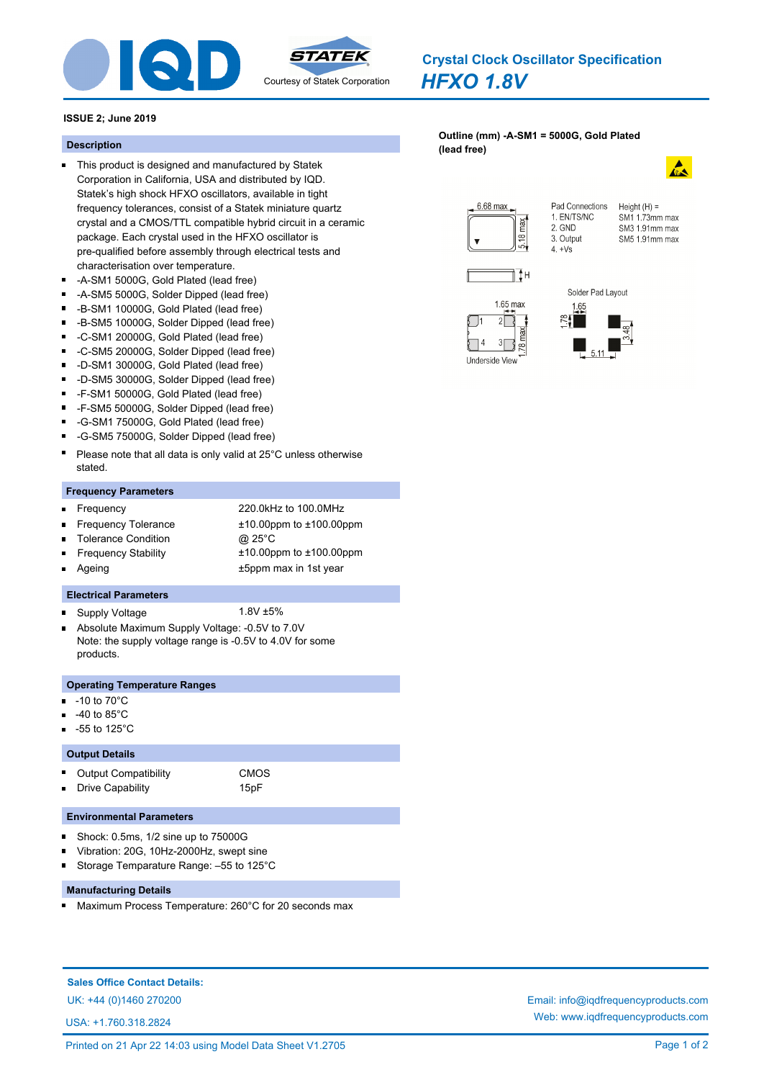

*HFXO 1.8V* **Crystal Clock Oscillator Specification**

# **ISSUE 2; June 2019**

- This product is designed and manufactured by Statek Corporation in California, USA and distributed by IQD. Statek's high shock HFXO oscillators, available in tight frequency tolerances, consist of a Statek miniature quartz crystal and a CMOS/TTL compatible hybrid circuit in a ceramic package. Each crystal used in the HFXO oscillator is pre-qualified before assembly through electrical tests and characterisation over temperature.
- -A-SM1 5000G, Gold Plated (lead free)
- $\blacksquare$ -A-SM5 5000G, Solder Dipped (lead free)
- -B-SM1 10000G, Gold Plated (lead free)  $\blacksquare$
- $\blacksquare$ -B-SM5 10000G, Solder Dipped (lead free)
- $\blacksquare$ -C-SM1 20000G, Gold Plated (lead free)
- -C-SM5 20000G, Solder Dipped (lead free)  $\blacksquare$
- -D-SM1 30000G, Gold Plated (lead free)  $\blacksquare$
- -D-SM5 30000G, Solder Dipped (lead free)
- $\blacksquare$ -F-SM1 50000G, Gold Plated (lead free)
- $\blacksquare$ -F-SM5 50000G, Solder Dipped (lead free)
- -G-SM1 75000G, Gold Plated (lead free)
- $\blacksquare$ -G-SM5 75000G, Solder Dipped (lead free)
- Please note that all data is only valid at 25°C unless otherwise stated.

### **Frequency Parameters**

- Frequency 220.0kHz to 100.0MHz Ξ Frequency Tolerance ±10.00ppm to ±100.00ppm  $\blacksquare$
- Tolerance Condition @ 25°C Frequency Stability ±10.00ppm to ±100.00ppm Ē
- Ageing **EXALL** 2008 **±5ppm** max in 1st year

#### **Electrical Parameters**

- Supply Voltage 1.8V ±5%
- Absolute Maximum Supply Voltage: -0.5V to 7.0V  $\blacksquare$ Note: the supply voltage range is -0.5V to 4.0V for some products.

### **Operating Temperature Ranges**

-10 to 70°C

 $\blacksquare$ 

- -40 to 85°C
- -55 to 125°C

### **Output Details**

| <b>Output Compatibility</b> | <b>CMOS</b> |
|-----------------------------|-------------|
| Drive Capability            | 15pF        |

#### **Environmental Parameters**

- Shock: 0.5ms, 1/2 sine up to 75000G
- Vibration: 20G, 10Hz-2000Hz, swept sine
- Storage Temparature Range: –55 to 125°C Ē

## **Manufacturing Details**

Maximum Process Temperature: 260°C for 20 seconds max п

# **Sales Office Contact Details:**

USA: +1.760.318.2824

## **[Outline \(mm\) -A-SM1 = 5000G, Gold Plated](http://www.iqdfrequencyproducts.com/products/search/?type=crystal-clock-oscillator&model=HFXO 1.8V)  (lead free) Description**



Pad Connections Height  $(H) =$ SM1 173mm may SM3 1.91mm max SM5 1.91mm max









1. EN/TS/NC

 $2$  GND

 $4. +Vs$ 

3. Output





UK: +44 (0)1460 270200 Email: info@iqdfrequencyproducts.com Web: www.iqdfrequencyproducts.com